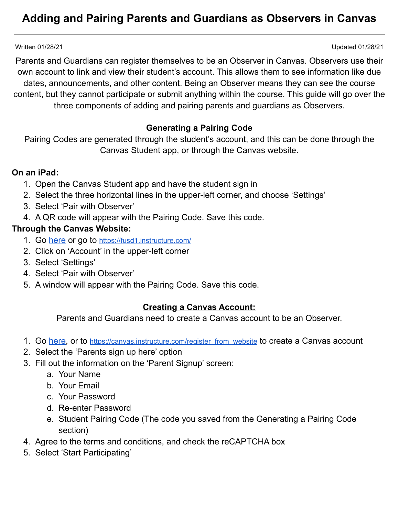# **Adding and Pairing Parents and Guardians as Observers in Canvas**

Written 01/28/21 Updated 01/28/21

Parents and Guardians can register themselves to be an Observer in Canvas. Observers use their own account to link and view their student's account. This allows them to see information like due dates, announcements, and other content. Being an Observer means they can see the course content, but they cannot participate or submit anything within the course. This guide will go over the three components of adding and pairing parents and guardians as Observers.

## **Generating a Pairing Code**

Pairing Codes are generated through the student's account, and this can be done through the Canvas Student app, or through the Canvas website.

#### **On an iPad:**

- 1. Open the Canvas Student app and have the student sign in
- 2. Select the three horizontal lines in the upper-left corner, and choose 'Settings'
- 3. Select 'Pair with Observer'
- 4. A QR code will appear with the Pairing Code. Save this code.

## **Through the Canvas Website:**

- 1. Go [here](https://fusd1.instructure.com/) or go to <https://fusd1.instructure.com/>
- 2. Click on 'Account' in the upper-left corner
- 3. Select 'Settings'
- 4. Select 'Pair with Observer'
- 5. A window will appear with the Pairing Code. Save this code.

#### **Creating a Canvas Account:**

Parents and Guardians need to create a Canvas account to be an Observer.

- 1. Go [here,](https://canvas.instructure.com/register_from_website) or to [https://canvas.instructure.com/register\\_from\\_website](https://canvas.instructure.com/register_from_website) to create a Canvas account
- 2. Select the 'Parents sign up here' option
- 3. Fill out the information on the 'Parent Signup' screen:
	- a. Your Name
	- b. Your Email
	- c. Your Password
	- d. Re-enter Password
	- e. Student Pairing Code (The code you saved from the Generating a Pairing Code section)
- 4. Agree to the terms and conditions, and check the reCAPTCHA box
- 5. Select 'Start Participating'